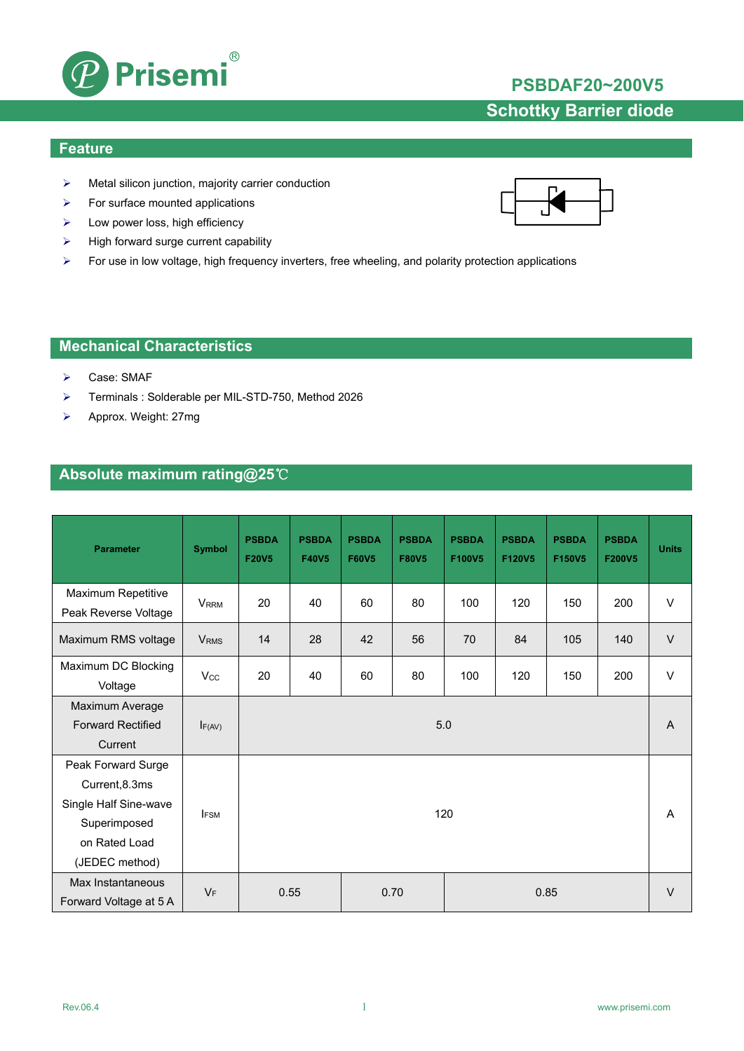

## **PSBDAF20~200V5**

# **Schottky Barrier diode**

#### **Feature**

- $\triangleright$  Metal silicon junction, majority carrier conduction
- $\triangleright$  For surface mounted applications
- $\blacktriangleright$  Low power loss, high efficiency
- $\triangleright$  High forward surge current capability
- For use in low voltage, high frequency inverters, free wheeling, and polarity protection applications

#### **Mechanical Characteristics**

- Case: SMAF
- Terminals : Solderable per MIL-STD-750, Method 2026
- Approx. Weight: 27mg

### **Absolute maximum rating@25**℃

| <b>Parameter</b>                                                                                                 | <b>Symbol</b>          | <b>PSBDA</b><br><b>F20V5</b> | <b>PSBDA</b><br><b>F40V5</b> | <b>PSBDA</b><br><b>F60V5</b> | <b>PSBDA</b><br><b>F80V5</b> | <b>PSBDA</b><br>F100V5 | <b>PSBDA</b><br>F120V5 | <b>PSBDA</b><br>F150V5 | <b>PSBDA</b><br>F200V5 | <b>Units</b> |
|------------------------------------------------------------------------------------------------------------------|------------------------|------------------------------|------------------------------|------------------------------|------------------------------|------------------------|------------------------|------------------------|------------------------|--------------|
| Maximum Repetitive<br>Peak Reverse Voltage                                                                       | <b>VRRM</b>            | 20                           | 40                           | 60                           | 80                           | 100                    | 120                    | 150                    | 200                    | $\vee$       |
| Maximum RMS voltage                                                                                              | <b>V<sub>RMS</sub></b> | 14                           | 28                           | 42                           | 56                           | 70                     | 84                     | 105                    | 140                    | $\vee$       |
| Maximum DC Blocking<br>Voltage                                                                                   | $V_{\rm CC}$           | 20                           | 40                           | 60                           | 80                           | 100                    | 120                    | 150                    | 200                    | $\vee$       |
| Maximum Average<br><b>Forward Rectified</b><br>Current                                                           | F(AV)                  | 5.0                          |                              |                              |                              |                        |                        |                        | $\overline{A}$         |              |
| Peak Forward Surge<br>Current, 8.3ms<br>Single Half Sine-wave<br>Superimposed<br>on Rated Load<br>(JEDEC method) | <b>IFSM</b>            | 120                          |                              |                              |                              |                        |                        |                        | A                      |              |
| Max Instantaneous<br>Forward Voltage at 5 A                                                                      | $V_F$                  | 0.55<br>0.70<br>0.85         |                              |                              |                              |                        |                        | $\vee$                 |                        |              |

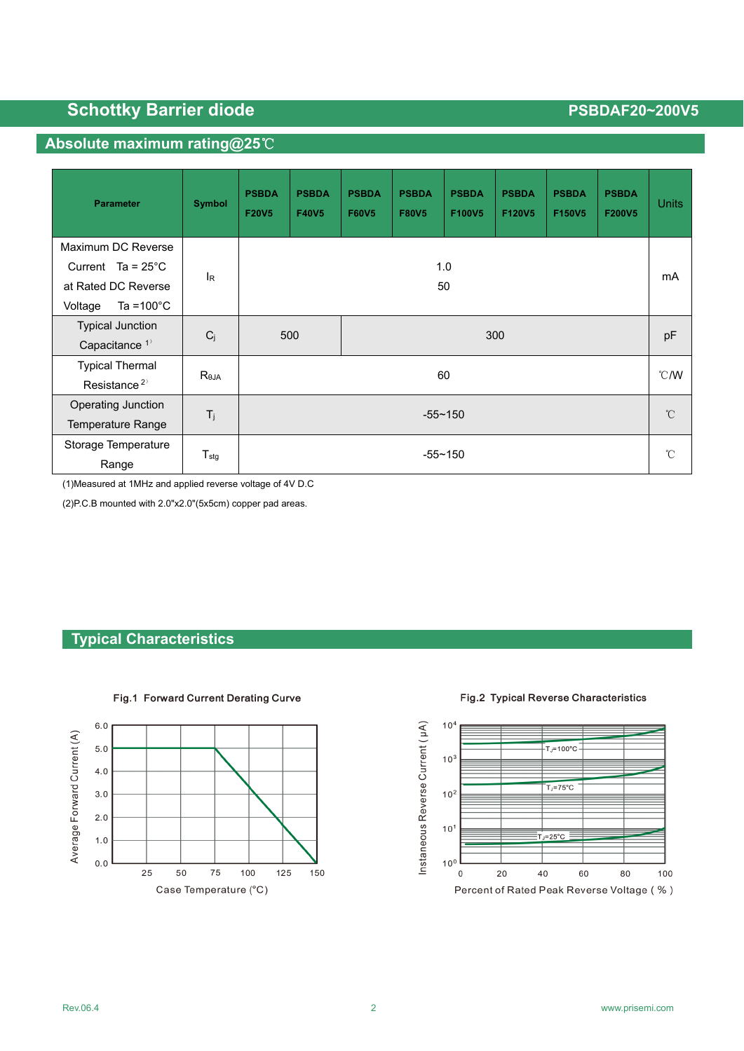# **Schottky Barrier diode PSBDAF20~200V5 PSBDAF20~200V5**

#### **Absolute maximum rating@25**℃

| <b>Parameter</b>                                       | Symbol           | <b>PSBDA</b><br><b>F20V5</b> | <b>PSBDA</b><br><b>F40V5</b> | <b>PSBDA</b><br><b>F60V5</b> | <b>PSBDA</b><br><b>F80V5</b> | <b>PSBDA</b><br>F100V5 | <b>PSBDA</b><br>F120V5 | <b>PSBDA</b><br>F150V5 | <b>PSBDA</b><br>F200V5 | <b>Units</b> |
|--------------------------------------------------------|------------------|------------------------------|------------------------------|------------------------------|------------------------------|------------------------|------------------------|------------------------|------------------------|--------------|
| Maximum DC Reverse<br>Current $Ta = 25^{\circ}C$       | <b>I</b> R       |                              | 1.0                          |                              |                              |                        |                        |                        | mA                     |              |
| at Rated DC Reverse<br>Ta = $100^{\circ}$ C<br>Voltage |                  | 50                           |                              |                              |                              |                        |                        |                        |                        |              |
| <b>Typical Junction</b><br>Capacitance <sup>1)</sup>   | $C_j$            |                              | 500                          | 300                          |                              |                        |                        |                        |                        | pF           |
| <b>Typical Thermal</b><br>Resistance <sup>2)</sup>     | $R_{\theta$ JA   | 60                           |                              |                              |                              |                        |                        | $^{\circ}$ C/W         |                        |              |
| Operating Junction<br><b>Temperature Range</b>         | $T_j$            | $-55 - 150$                  |                              |                              |                              |                        | $^{\circ}$ C           |                        |                        |              |
| Storage Temperature<br>Range                           | $T_{\text{stg}}$ | $-55 - 150$                  |                              |                              |                              |                        | $^{\circ}$ C           |                        |                        |              |

(1)Measured at 1MHz and applied reverse voltage of 4V D.C

(2)P.C.B mounted with 2.0"x2.0"(5x5cm) copper pad areas.

#### **Typical Characteristics**



Fig.1 Forward Current Derating Curve

Fig.2 Typical Reverse Characteristics

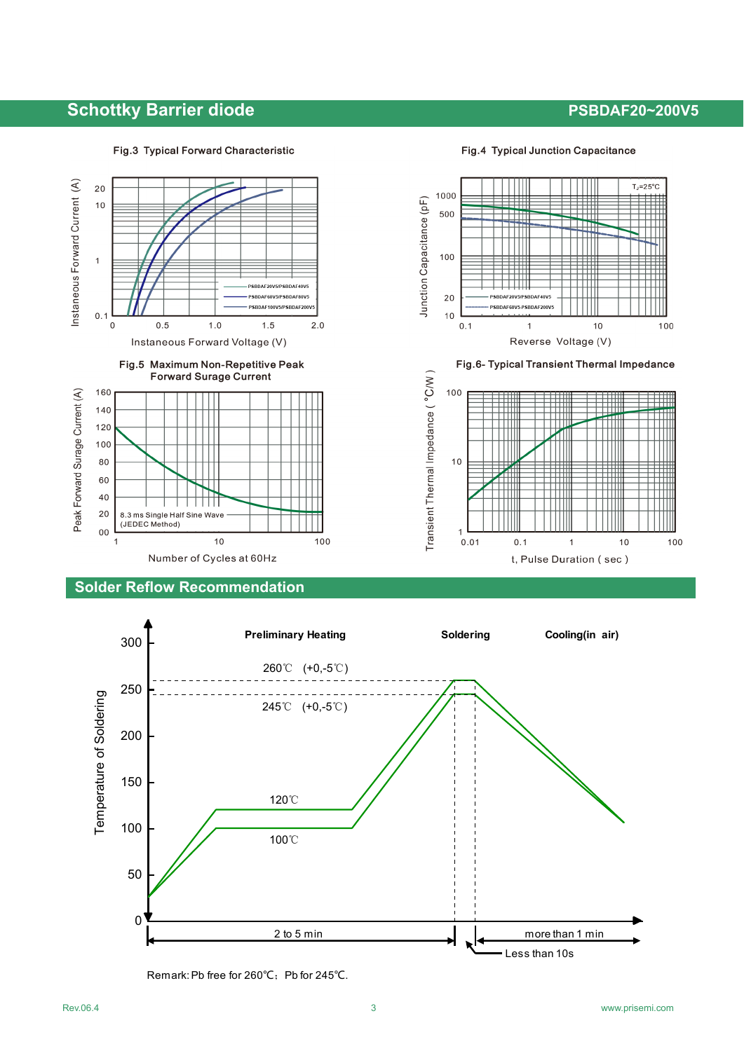## **Schottky Barrier diode PSBDAF20~200V5 PSBDAF20~200V5**

#### Fig.3 Typical Forward Characteristic

Fig.4 Typical Junction Capacitance



### **Solder Reflow Recommendation**



Remark: Pb free for 260℃; Pb for 245℃.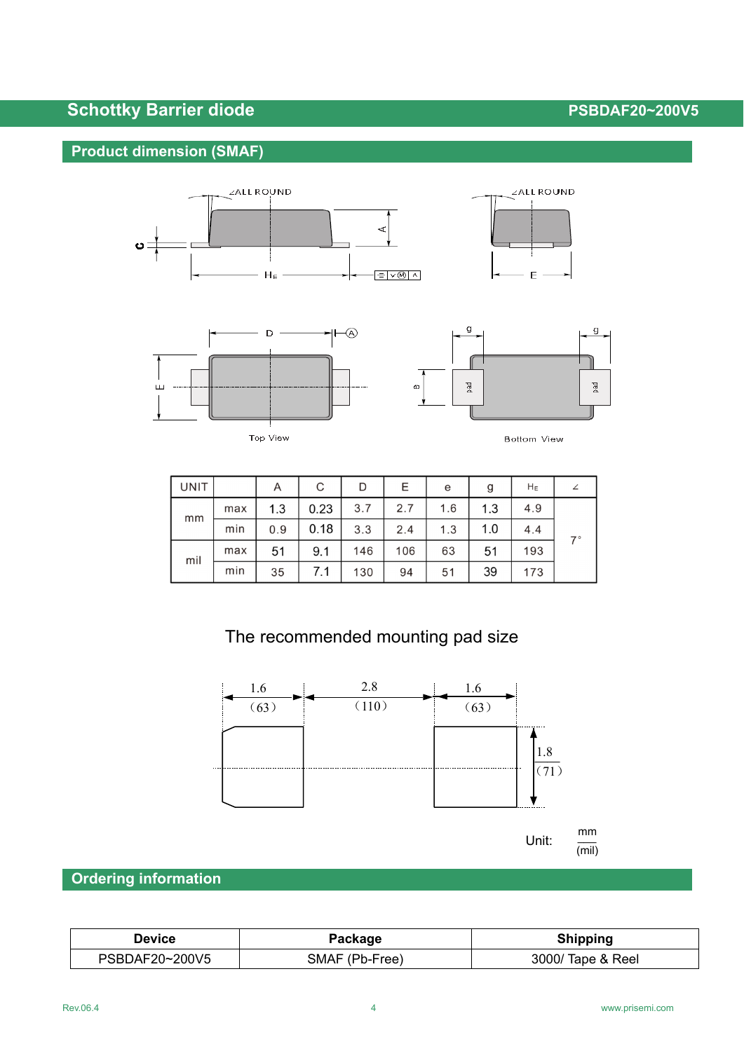# **Schottky Barrier diode PSBDAF20~200V5 PSBDAF20~200V5**

## **Product dimension (SMAF)**





Top View



**Bottom View** 

| <b>UNIT</b> |     | A   | С    | D   | Ε   | e   | g   | $H_E$ |             |
|-------------|-----|-----|------|-----|-----|-----|-----|-------|-------------|
| mm          | max | 1.3 | 0.23 | 3.7 | 2.7 | 1.6 | 1.3 | 4.9   |             |
|             | min | 0.9 | 0.18 | 3.3 | 2.4 | 1.3 | 1.0 | 4.4   | $7^{\circ}$ |
| mil         | max | 51  | 9.1  | 146 | 106 | 63  | 51  | 193   |             |
|             | min | 35  | 7.1  | 130 | 94  | 51  | 39  | 173   |             |

# The recommended mounting pad size



## **Ordering information**

| <b>Device</b>  | Package        | <b>Shipping</b>   |
|----------------|----------------|-------------------|
| PSBDAF20~200V5 | SMAF (Pb-Free) | 3000/ Tape & Reel |